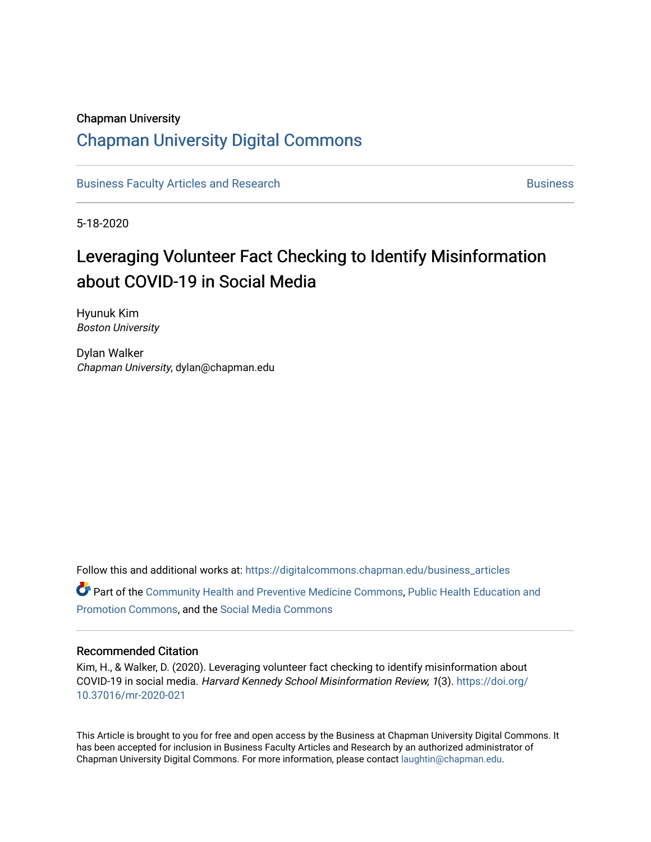### Chapman University

# [Chapman University Digital Commons](https://digitalcommons.chapman.edu/)

[Business Faculty Articles and Research](https://digitalcommons.chapman.edu/business_articles) [Business](https://digitalcommons.chapman.edu/business) **Business** Business

5-18-2020

# Leveraging Volunteer Fact Checking to Identify Misinformation about COVID-19 in Social Media

Hyunuk Kim Boston University

Dylan Walker Chapman University, dylan@chapman.edu

Follow this and additional works at: [https://digitalcommons.chapman.edu/business\\_articles](https://digitalcommons.chapman.edu/business_articles?utm_source=digitalcommons.chapman.edu%2Fbusiness_articles%2F138&utm_medium=PDF&utm_campaign=PDFCoverPages)  Part of the [Community Health and Preventive Medicine Commons](https://network.bepress.com/hgg/discipline/744?utm_source=digitalcommons.chapman.edu%2Fbusiness_articles%2F138&utm_medium=PDF&utm_campaign=PDFCoverPages), [Public Health Education and](https://network.bepress.com/hgg/discipline/743?utm_source=digitalcommons.chapman.edu%2Fbusiness_articles%2F138&utm_medium=PDF&utm_campaign=PDFCoverPages)  [Promotion Commons](https://network.bepress.com/hgg/discipline/743?utm_source=digitalcommons.chapman.edu%2Fbusiness_articles%2F138&utm_medium=PDF&utm_campaign=PDFCoverPages), and the [Social Media Commons](https://network.bepress.com/hgg/discipline/1249?utm_source=digitalcommons.chapman.edu%2Fbusiness_articles%2F138&utm_medium=PDF&utm_campaign=PDFCoverPages) 

### Recommended Citation

Kim, H., & Walker, D. (2020). Leveraging volunteer fact checking to identify misinformation about COVID-19 in social media. Harvard Kennedy School Misinformation Review, 1(3). [https://doi.org/](https://doi.org/10.37016/mr-2020-021) [10.37016/mr-2020-021](https://doi.org/10.37016/mr-2020-021) 

This Article is brought to you for free and open access by the Business at Chapman University Digital Commons. It has been accepted for inclusion in Business Faculty Articles and Research by an authorized administrator of Chapman University Digital Commons. For more information, please contact [laughtin@chapman.edu](mailto:laughtin@chapman.edu).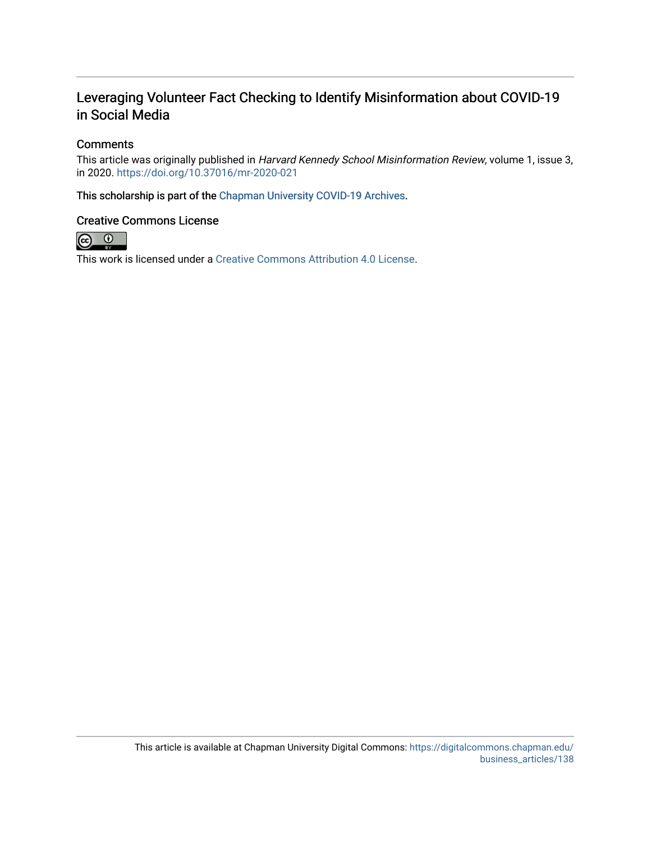## Leveraging Volunteer Fact Checking to Identify Misinformation about COVID-19 in Social Media

### **Comments**

This article was originally published in Harvard Kennedy School Misinformation Review, volume 1, issue 3, in 2020. <https://doi.org/10.37016/mr-2020-021>

This scholarship is part of the [Chapman University COVID-19 Archives](https://digitalcommons.chapman.edu/covid-19_archives/).

### Creative Commons License



This work is licensed under a [Creative Commons Attribution 4.0 License](https://creativecommons.org/licenses/by/4.0/).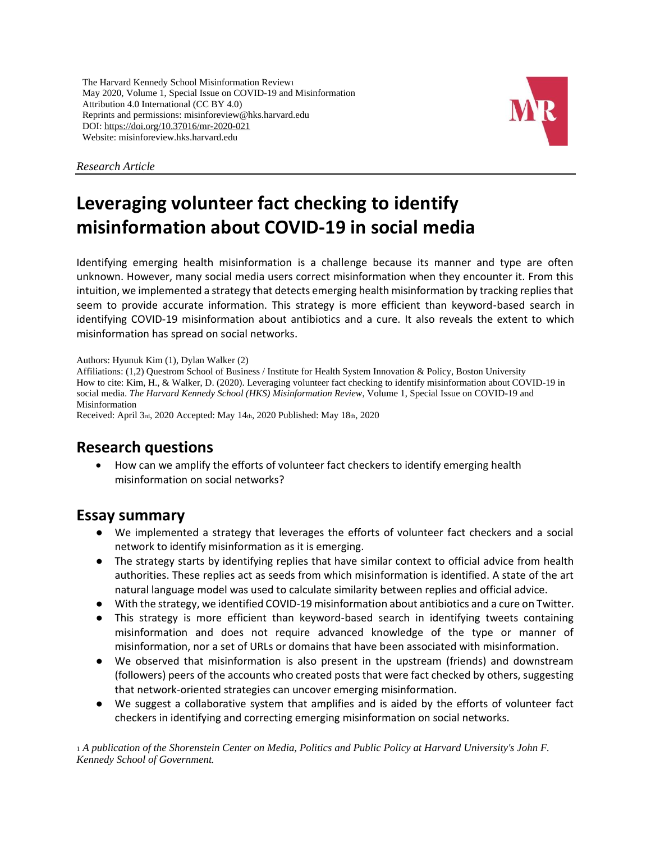The Harvard Kennedy School Misinformation Review<sup>1</sup> May 2020, Volume 1, Special Issue on COVID-19 and Misinformation Attribution 4.0 International (CC BY 4.0) Reprints and permissions: misinforeview@hks.harvard.edu DOI: <https://doi.org/10.37016/mr-2020-021> Website: misinforeview.hks.harvard.edu



*Research Article*

# **Leveraging volunteer fact checking to identify misinformation about COVID-19 in social media**

Identifying emerging health misinformation is a challenge because its manner and type are often unknown. However, many social media users correct misinformation when they encounter it. From this intuition, we implemented a strategy that detects emerging health misinformation by tracking replies that seem to provide accurate information. This strategy is more efficient than keyword-based search in identifying COVID-19 misinformation about antibiotics and a cure. It also reveals the extent to which misinformation has spread on social networks.

Authors: Hyunuk Kim (1), Dylan Walker (2)

Affiliations: (1,2) Questrom School of Business / Institute for Health System Innovation & Policy, Boston University How to cite: Kim, H., & Walker, D. (2020). Leveraging volunteer fact checking to identify misinformation about COVID-19 in social media. *The Harvard Kennedy School (HKS) Misinformation Review*, Volume 1, Special Issue on COVID-19 and Misinformation

Received: April 3rd, 2020 Accepted: May 14th, 2020 Published: May 18th, 2020

## **Research questions**

• How can we amplify the efforts of volunteer fact checkers to identify emerging health misinformation on social networks?

### **Essay summary**

- We implemented a strategy that leverages the efforts of volunteer fact checkers and a social network to identify misinformation as it is emerging.
- The strategy starts by identifying replies that have similar context to official advice from health authorities. These replies act as seeds from which misinformation is identified. A state of the art natural language model was used to calculate similarity between replies and official advice.
- With the strategy, we identified COVID-19 misinformation about antibiotics and a cure on Twitter.
- This strategy is more efficient than keyword-based search in identifying tweets containing misinformation and does not require advanced knowledge of the type or manner of misinformation, nor a set of URLs or domains that have been associated with misinformation.
- We observed that misinformation is also present in the upstream (friends) and downstream (followers) peers of the accounts who created posts that were fact checked by others, suggesting that network-oriented strategies can uncover emerging misinformation.
- We suggest a collaborative system that amplifies and is aided by the efforts of volunteer fact checkers in identifying and correcting emerging misinformation on social networks.

<sup>1</sup> *A publication of the Shorenstein Center on Media, Politics and Public Policy at Harvard University's John F. Kennedy School of Government.*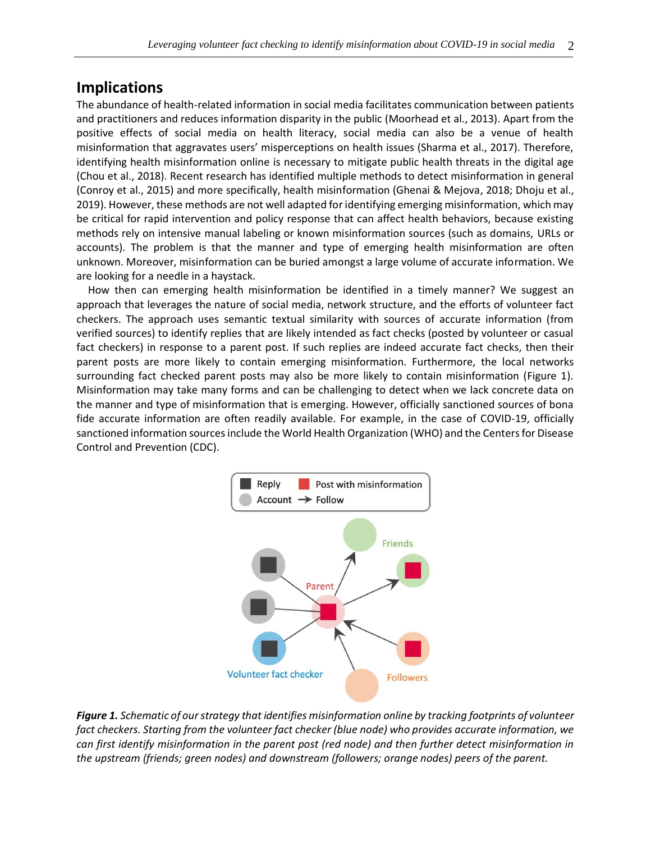### **Implications**

The abundance of health-related information in social media facilitates communication between patients and practitioners and reduces information disparity in the public (Moorhead et al., 2013). Apart from the positive effects of social media on health literacy, social media can also be a venue of health misinformation that aggravates users' misperceptions on health issues (Sharma et al., 2017). Therefore, identifying health misinformation online is necessary to mitigate public health threats in the digital age (Chou et al., 2018). Recent research has identified multiple methods to detect misinformation in general (Conroy et al., 2015) and more specifically, health misinformation (Ghenai & Mejova, 2018; Dhoju et al., 2019). However, these methods are not well adapted for identifying emerging misinformation, which may be critical for rapid intervention and policy response that can affect health behaviors, because existing methods rely on intensive manual labeling or known misinformation sources (such as domains, URLs or accounts). The problem is that the manner and type of emerging health misinformation are often unknown. Moreover, misinformation can be buried amongst a large volume of accurate information. We are looking for a needle in a haystack.

How then can emerging health misinformation be identified in a timely manner? We suggest an approach that leverages the nature of social media, network structure, and the efforts of volunteer fact checkers. The approach uses semantic textual similarity with sources of accurate information (from verified sources) to identify replies that are likely intended as fact checks (posted by volunteer or casual fact checkers) in response to a parent post. If such replies are indeed accurate fact checks, then their parent posts are more likely to contain emerging misinformation. Furthermore, the local networks surrounding fact checked parent posts may also be more likely to contain misinformation (Figure 1). Misinformation may take many forms and can be challenging to detect when we lack concrete data on the manner and type of misinformation that is emerging. However, officially sanctioned sources of bona fide accurate information are often readily available. For example, in the case of COVID-19, officially sanctioned information sources include the World Health Organization (WHO) and the Centers for Disease Control and Prevention (CDC).



*Figure 1. Schematic of our strategy that identifies misinformation online by tracking footprints of volunteer fact checkers. Starting from the volunteer fact checker (blue node) who provides accurate information, we can first identify misinformation in the parent post (red node) and then further detect misinformation in the upstream (friends; green nodes) and downstream (followers; orange nodes) peers of the parent.*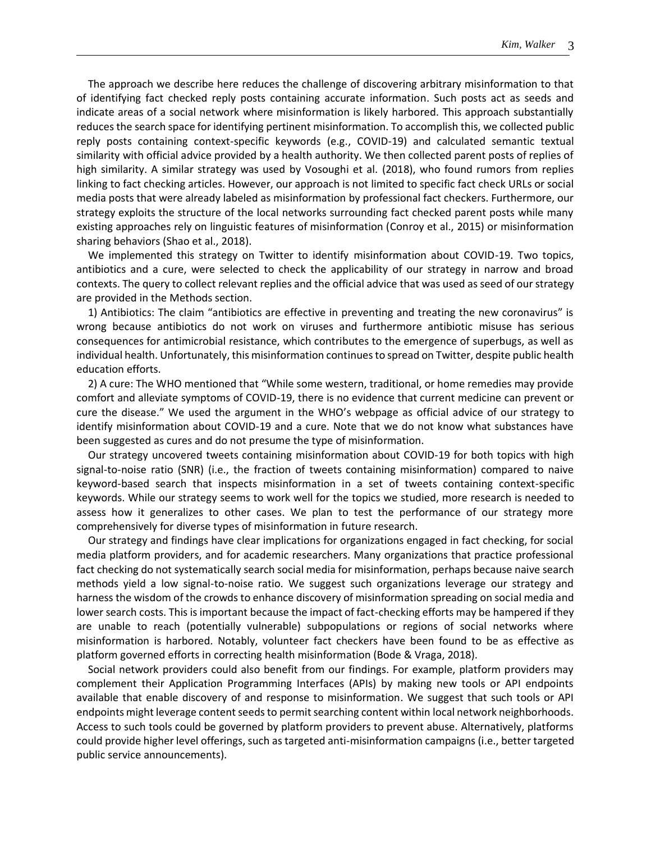The approach we describe here reduces the challenge of discovering arbitrary misinformation to that of identifying fact checked reply posts containing accurate information. Such posts act as seeds and indicate areas of a social network where misinformation is likely harbored. This approach substantially reduces the search space for identifying pertinent misinformation. To accomplish this, we collected public reply posts containing context-specific keywords (e.g., COVID-19) and calculated semantic textual similarity with official advice provided by a health authority. We then collected parent posts of replies of high similarity. A similar strategy was used by Vosoughi et al. (2018), who found rumors from replies linking to fact checking articles. However, our approach is not limited to specific fact check URLs or social media posts that were already labeled as misinformation by professional fact checkers. Furthermore, our strategy exploits the structure of the local networks surrounding fact checked parent posts while many existing approaches rely on linguistic features of misinformation (Conroy et al., 2015) or misinformation sharing behaviors (Shao et al., 2018).

We implemented this strategy on Twitter to identify misinformation about COVID-19. Two topics, antibiotics and a cure, were selected to check the applicability of our strategy in narrow and broad contexts. The query to collect relevant replies and the official advice that was used as seed of our strategy are provided in the Methods section.

1) Antibiotics: The claim "antibiotics are effective in preventing and treating the new coronavirus" is wrong because antibiotics do not work on viruses and furthermore antibiotic misuse has serious consequences for antimicrobial resistance, which contributes to the emergence of superbugs, as well as individual health. Unfortunately, this misinformation continues to spread on Twitter, despite public health education efforts.

2) A cure: The WHO mentioned that "While some western, traditional, or home remedies may provide comfort and alleviate symptoms of COVID-19, there is no evidence that current medicine can prevent or cure the disease." We used the argument in the WHO's webpage as official advice of our strategy to identify misinformation about COVID-19 and a cure. Note that we do not know what substances have been suggested as cures and do not presume the type of misinformation.

Our strategy uncovered tweets containing misinformation about COVID-19 for both topics with high signal-to-noise ratio (SNR) (i.e., the fraction of tweets containing misinformation) compared to naive keyword-based search that inspects misinformation in a set of tweets containing context-specific keywords. While our strategy seems to work well for the topics we studied, more research is needed to assess how it generalizes to other cases. We plan to test the performance of our strategy more comprehensively for diverse types of misinformation in future research.

Our strategy and findings have clear implications for organizations engaged in fact checking, for social media platform providers, and for academic researchers. Many organizations that practice professional fact checking do not systematically search social media for misinformation, perhaps because naive search methods yield a low signal-to-noise ratio. We suggest such organizations leverage our strategy and harness the wisdom of the crowds to enhance discovery of misinformation spreading on social media and lower search costs. This is important because the impact of fact-checking efforts may be hampered if they are unable to reach (potentially vulnerable) subpopulations or regions of social networks where misinformation is harbored. Notably, volunteer fact checkers have been found to be as effective as platform governed efforts in correcting health misinformation (Bode & Vraga, 2018).

Social network providers could also benefit from our findings. For example, platform providers may complement their Application Programming Interfaces (APIs) by making new tools or API endpoints available that enable discovery of and response to misinformation. We suggest that such tools or API endpoints might leverage content seeds to permit searching content within local network neighborhoods. Access to such tools could be governed by platform providers to prevent abuse. Alternatively, platforms could provide higher level offerings, such as targeted anti-misinformation campaigns (i.e., better targeted public service announcements).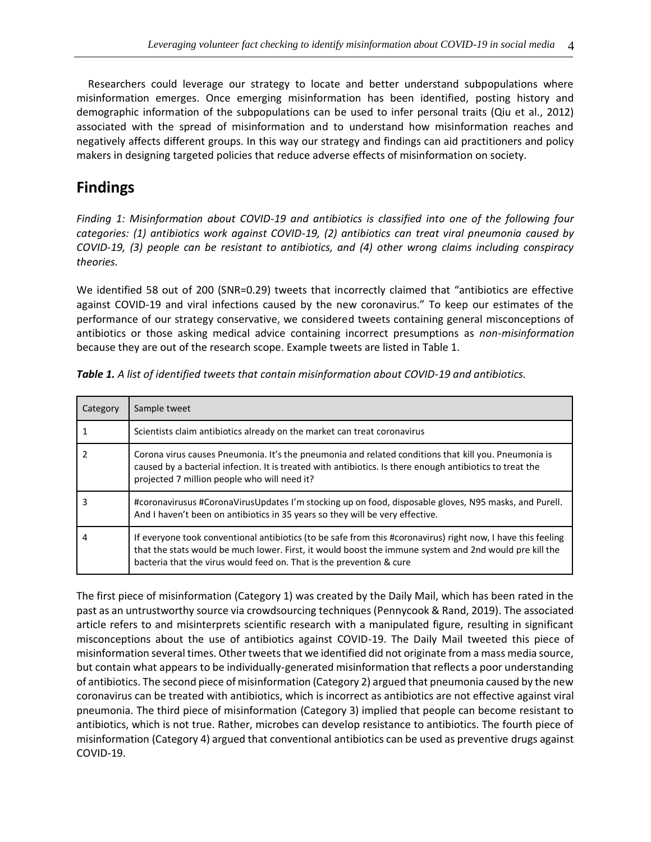Researchers could leverage our strategy to locate and better understand subpopulations where misinformation emerges. Once emerging misinformation has been identified, posting history and demographic information of the subpopulations can be used to infer personal traits (Qiu et al., 2012) associated with the spread of misinformation and to understand how misinformation reaches and negatively affects different groups. In this way our strategy and findings can aid practitioners and policy makers in designing targeted policies that reduce adverse effects of misinformation on society.

# **Findings**

*Finding 1: Misinformation about COVID-19 and antibiotics is classified into one of the following four categories: (1) antibiotics work against COVID-19, (2) antibiotics can treat viral pneumonia caused by COVID-19, (3) people can be resistant to antibiotics, and (4) other wrong claims including conspiracy theories.* 

We identified 58 out of 200 (SNR=0.29) tweets that incorrectly claimed that "antibiotics are effective against COVID-19 and viral infections caused by the new coronavirus." To keep our estimates of the performance of our strategy conservative, we considered tweets containing general misconceptions of antibiotics or those asking medical advice containing incorrect presumptions as *non-misinformation* because they are out of the research scope. Example tweets are listed in Table 1.

| Category | Sample tweet                                                                                                                                                                                                                                                                                   |
|----------|------------------------------------------------------------------------------------------------------------------------------------------------------------------------------------------------------------------------------------------------------------------------------------------------|
|          | Scientists claim antibiotics already on the market can treat coronavirus                                                                                                                                                                                                                       |
| 2        | Corona virus causes Pneumonia. It's the pneumonia and related conditions that kill you. Pneumonia is<br>caused by a bacterial infection. It is treated with antibiotics. Is there enough antibiotics to treat the<br>projected 7 million people who will need it?                              |
|          | #coronavirusus #CoronaVirusUpdates I'm stocking up on food, disposable gloves, N95 masks, and Purell.<br>And I haven't been on antibiotics in 35 years so they will be very effective.                                                                                                         |
| 4        | If everyone took conventional antibiotics (to be safe from this #coronavirus) right now, I have this feeling<br>that the stats would be much lower. First, it would boost the immune system and 2nd would pre kill the<br>bacteria that the virus would feed on. That is the prevention & cure |

*Table 1. A list of identified tweets that contain misinformation about COVID-19 and antibiotics.*

The first piece of misinformation (Category 1) was created by the Daily Mail, which has been rated in the past as an untrustworthy source via crowdsourcing techniques (Pennycook & Rand, 2019). The associated article refers to and misinterprets scientific research with a manipulated figure, resulting in significant misconceptions about the use of antibiotics against COVID-19. The Daily Mail tweeted this piece of misinformation several times. Other tweets that we identified did not originate from a mass media source, but contain what appears to be individually-generated misinformation that reflects a poor understanding of antibiotics. The second piece of misinformation (Category 2) argued that pneumonia caused by the new coronavirus can be treated with antibiotics, which is incorrect as antibiotics are not effective against viral pneumonia. The third piece of misinformation (Category 3) implied that people can become resistant to antibiotics, which is not true. Rather, microbes can develop resistance to antibiotics. The fourth piece of misinformation (Category 4) argued that conventional antibiotics can be used as preventive drugs against COVID-19.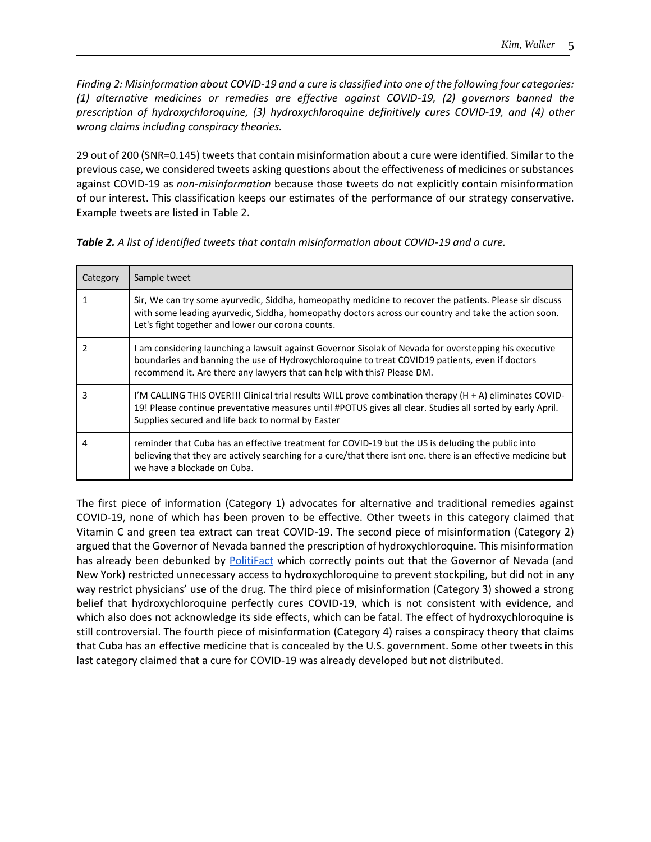*Finding 2: Misinformation about COVID-19 and a cure is classified into one of the following four categories: (1) alternative medicines or remedies are effective against COVID-19, (2) governors banned the prescription of hydroxychloroquine, (3) hydroxychloroquine definitively cures COVID-19, and (4) other wrong claims including conspiracy theories.* 

29 out of 200 (SNR=0.145) tweets that contain misinformation about a cure were identified. Similar to the previous case, we considered tweets asking questions about the effectiveness of medicines or substances against COVID-19 as *non-misinformation* because those tweets do not explicitly contain misinformation of our interest. This classification keeps our estimates of the performance of our strategy conservative. Example tweets are listed in Table 2.

| Category | Sample tweet                                                                                                                                                                                                                                                                         |
|----------|--------------------------------------------------------------------------------------------------------------------------------------------------------------------------------------------------------------------------------------------------------------------------------------|
|          | Sir, We can try some ayurvedic, Siddha, homeopathy medicine to recover the patients. Please sir discuss<br>with some leading ayurvedic, Siddha, homeopathy doctors across our country and take the action soon.<br>Let's fight together and lower our corona counts.                 |
|          | I am considering launching a lawsuit against Governor Sisolak of Nevada for overstepping his executive<br>boundaries and banning the use of Hydroxychloroguine to treat COVID19 patients, even if doctors<br>recommend it. Are there any lawyers that can help with this? Please DM. |
|          | I'M CALLING THIS OVER!!! Clinical trial results WILL prove combination therapy $(H + A)$ eliminates COVID-<br>19! Please continue preventative measures until #POTUS gives all clear. Studies all sorted by early April.<br>Supplies secured and life back to normal by Easter       |
| 4        | reminder that Cuba has an effective treatment for COVID-19 but the US is deluding the public into<br>believing that they are actively searching for a cure/that there isnt one, there is an effective medicine but<br>we have a blockade on Cuba.                                    |

*Table 2. A list of identified tweets that contain misinformation about COVID-19 and a cure.*

The first piece of information (Category 1) advocates for alternative and traditional remedies against COVID-19, none of which has been proven to be effective. Other tweets in this category claimed that Vitamin C and green tea extract can treat COVID-19. The second piece of misinformation (Category 2) argued that the Governor of Nevada banned the prescription of hydroxychloroquine. This misinformation has already been debunked by [PolitiFact](https://www.politifact.com/factchecks/2020/apr/02/facebook-posts/chloroquine-not-banned-michigan-new-york-and-nevad/) which correctly points out that the Governor of Nevada (and New York) restricted unnecessary access to hydroxychloroquine to prevent stockpiling, but did not in any way restrict physicians' use of the drug. The third piece of misinformation (Category 3) showed a strong belief that hydroxychloroquine perfectly cures COVID-19, which is not consistent with evidence, and which also does not acknowledge its side effects, which can be fatal. The effect of hydroxychloroquine is still controversial. The fourth piece of misinformation (Category 4) raises a conspiracy theory that claims that Cuba has an effective medicine that is concealed by the U.S. government. Some other tweets in this last category claimed that a cure for COVID-19 was already developed but not distributed.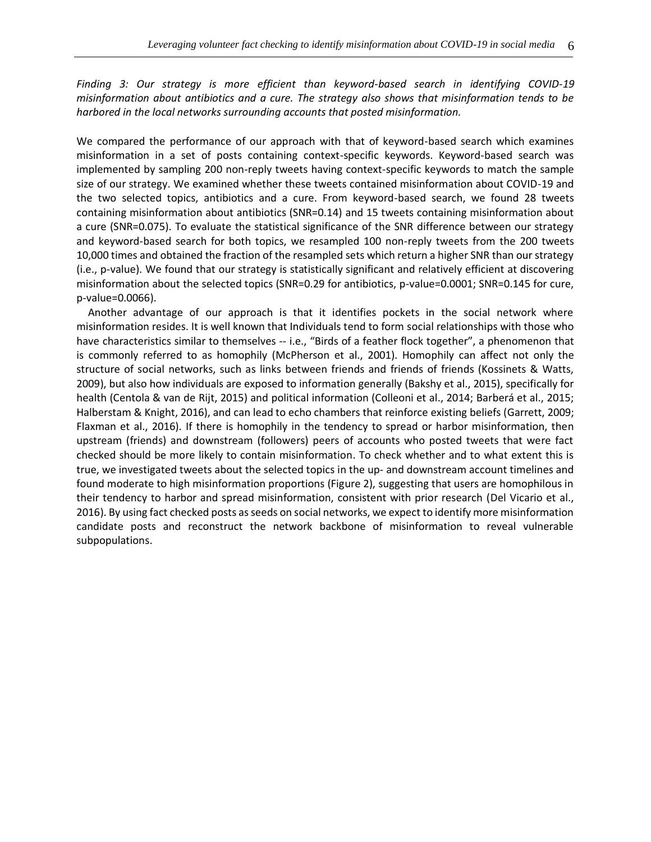*Finding 3: Our strategy is more efficient than keyword-based search in identifying COVID-19 misinformation about antibiotics and a cure. The strategy also shows that misinformation tends to be harbored in the local networks surrounding accounts that posted misinformation.* 

We compared the performance of our approach with that of keyword-based search which examines misinformation in a set of posts containing context-specific keywords. Keyword-based search was implemented by sampling 200 non-reply tweets having context-specific keywords to match the sample size of our strategy. We examined whether these tweets contained misinformation about COVID-19 and the two selected topics, antibiotics and a cure. From keyword-based search, we found 28 tweets containing misinformation about antibiotics (SNR=0.14) and 15 tweets containing misinformation about a cure (SNR=0.075). To evaluate the statistical significance of the SNR difference between our strategy and keyword-based search for both topics, we resampled 100 non-reply tweets from the 200 tweets 10,000 times and obtained the fraction of the resampled sets which return a higher SNR than our strategy (i.e., p-value). We found that our strategy is statistically significant and relatively efficient at discovering misinformation about the selected topics (SNR=0.29 for antibiotics, p-value=0.0001; SNR=0.145 for cure, p-value=0.0066).

Another advantage of our approach is that it identifies pockets in the social network where misinformation resides. It is well known that Individuals tend to form social relationships with those who have characteristics similar to themselves -- i.e., "Birds of a feather flock together", a phenomenon that is commonly referred to as homophily (McPherson et al., 2001). Homophily can affect not only the structure of social networks, such as links between friends and friends of friends (Kossinets & Watts, 2009), but also how individuals are exposed to information generally (Bakshy et al., 2015), specifically for health (Centola & van de Rijt, 2015) and political information (Colleoni et al., 2014; Barberá et al., 2015; Halberstam & Knight, 2016), and can lead to echo chambers that reinforce existing beliefs (Garrett, 2009; Flaxman et al., 2016). If there is homophily in the tendency to spread or harbor misinformation, then upstream (friends) and downstream (followers) peers of accounts who posted tweets that were fact checked should be more likely to contain misinformation. To check whether and to what extent this is true, we investigated tweets about the selected topics in the up- and downstream account timelines and found moderate to high misinformation proportions (Figure 2), suggesting that users are homophilous in their tendency to harbor and spread misinformation, consistent with prior research (Del Vicario et al., 2016). By using fact checked posts as seeds on social networks, we expect to identify more misinformation candidate posts and reconstruct the network backbone of misinformation to reveal vulnerable subpopulations.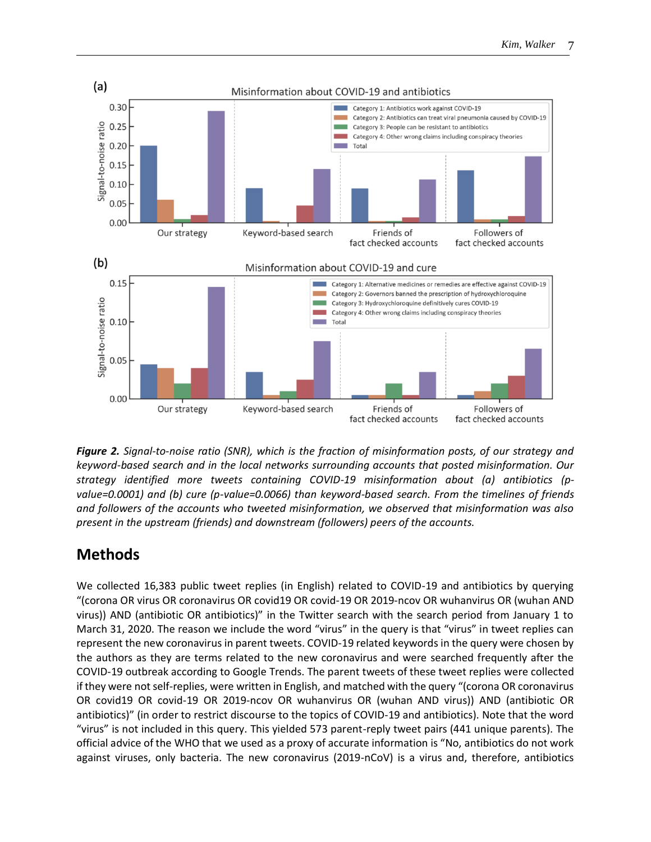

*Figure 2. Signal-to-noise ratio (SNR), which is the fraction of misinformation posts, of our strategy and keyword-based search and in the local networks surrounding accounts that posted misinformation. Our strategy identified more tweets containing COVID-19 misinformation about (a) antibiotics (pvalue=0.0001) and (b) cure (p-value=0.0066) than keyword-based search. From the timelines of friends and followers of the accounts who tweeted misinformation, we observed that misinformation was also present in the upstream (friends) and downstream (followers) peers of the accounts.* 

# **Methods**

We collected 16,383 public tweet replies (in English) related to COVID-19 and antibiotics by querying "(corona OR virus OR coronavirus OR covid19 OR covid-19 OR 2019-ncov OR wuhanvirus OR (wuhan AND virus)) AND (antibiotic OR antibiotics)" in the Twitter search with the search period from January 1 to March 31, 2020. The reason we include the word "virus" in the query is that "virus" in tweet replies can represent the new coronavirus in parent tweets. COVID-19 related keywords in the query were chosen by the authors as they are terms related to the new coronavirus and were searched frequently after the COVID-19 outbreak according to Google Trends. The parent tweets of these tweet replies were collected if they were not self-replies, were written in English, and matched with the query "(corona OR coronavirus OR covid19 OR covid-19 OR 2019-ncov OR wuhanvirus OR (wuhan AND virus)) AND (antibiotic OR antibiotics)" (in order to restrict discourse to the topics of COVID-19 and antibiotics). Note that the word "virus" is not included in this query. This yielded 573 parent-reply tweet pairs (441 unique parents). The official advice of the WHO that we used as a proxy of accurate information is "No, antibiotics do not work against viruses, only bacteria. The new coronavirus (2019-nCoV) is a virus and, therefore, antibiotics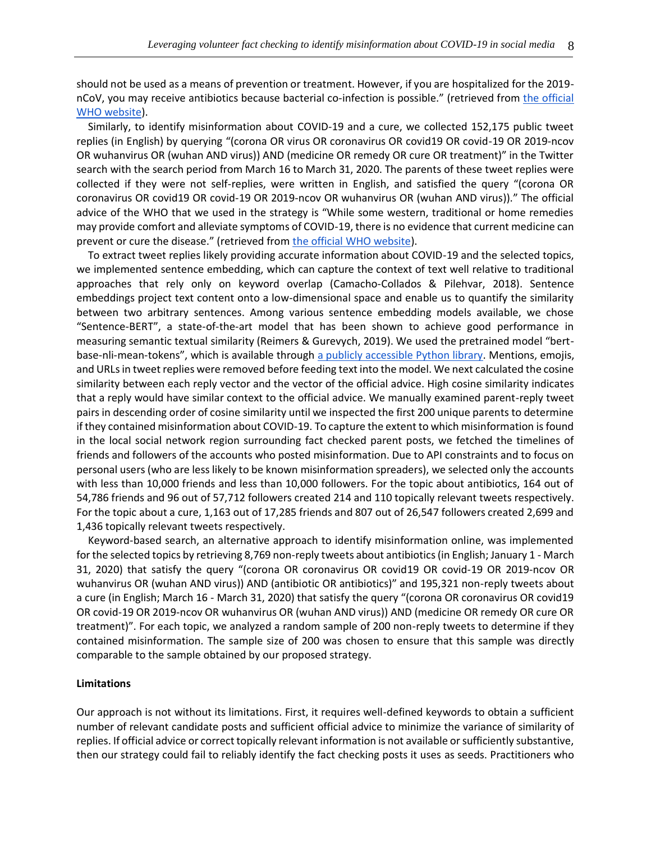should not be used as a means of prevention or treatment. However, if you are hospitalized for the 2019 nCoV, you may receive antibiotics because bacterial co-infection is possible." (retrieved from the official [WHO website\)](https://www.who.int/emergencies/diseases/novel-coronavirus-2019/advice-for-public/myth-busters).

Similarly, to identify misinformation about COVID-19 and a cure, we collected 152,175 public tweet replies (in English) by querying "(corona OR virus OR coronavirus OR covid19 OR covid-19 OR 2019-ncov OR wuhanvirus OR (wuhan AND virus)) AND (medicine OR remedy OR cure OR treatment)" in the Twitter search with the search period from March 16 to March 31, 2020. The parents of these tweet replies were collected if they were not self-replies, were written in English, and satisfied the query "(corona OR coronavirus OR covid19 OR covid-19 OR 2019-ncov OR wuhanvirus OR (wuhan AND virus))." The official advice of the WHO that we used in the strategy is "While some western, traditional or home remedies may provide comfort and alleviate symptoms of COVID-19, there is no evidence that current medicine can prevent or cure the disease." (retrieved from [the official WHO website\)](https://www.who.int/news-room/q-a-detail/q-a-coronaviruses).

To extract tweet replies likely providing accurate information about COVID-19 and the selected topics, we implemented sentence embedding, which can capture the context of text well relative to traditional approaches that rely only on keyword overlap (Camacho-Collados & Pilehvar, 2018). Sentence embeddings project text content onto a low-dimensional space and enable us to quantify the similarity between two arbitrary sentences. Among various sentence embedding models available, we chose "Sentence-BERT", a state-of-the-art model that has been shown to achieve good performance in measuring semantic textual similarity (Reimers & Gurevych, 2019). We used the pretrained model "bertbase-nli-mean-tokens", which is available through [a publicly accessible Python library.](https://github.com/UKPLab/sentence-transformers) Mentions, emojis, and URLs in tweet replies were removed before feeding text into the model. We next calculated the cosine similarity between each reply vector and the vector of the official advice. High cosine similarity indicates that a reply would have similar context to the official advice. We manually examined parent-reply tweet pairs in descending order of cosine similarity until we inspected the first 200 unique parents to determine if they contained misinformation about COVID-19. To capture the extent to which misinformation is found in the local social network region surrounding fact checked parent posts, we fetched the timelines of friends and followers of the accounts who posted misinformation. Due to API constraints and to focus on personal users (who are less likely to be known misinformation spreaders), we selected only the accounts with less than 10,000 friends and less than 10,000 followers. For the topic about antibiotics, 164 out of 54,786 friends and 96 out of 57,712 followers created 214 and 110 topically relevant tweets respectively. For the topic about a cure, 1,163 out of 17,285 friends and 807 out of 26,547 followers created 2,699 and 1,436 topically relevant tweets respectively.

Keyword-based search, an alternative approach to identify misinformation online, was implemented for the selected topics by retrieving 8,769 non-reply tweets about antibiotics (in English; January 1 - March 31, 2020) that satisfy the query "(corona OR coronavirus OR covid19 OR covid-19 OR 2019-ncov OR wuhanvirus OR (wuhan AND virus)) AND (antibiotic OR antibiotics)" and 195,321 non-reply tweets about a cure (in English; March 16 - March 31, 2020) that satisfy the query "(corona OR coronavirus OR covid19 OR covid-19 OR 2019-ncov OR wuhanvirus OR (wuhan AND virus)) AND (medicine OR remedy OR cure OR treatment)". For each topic, we analyzed a random sample of 200 non-reply tweets to determine if they contained misinformation. The sample size of 200 was chosen to ensure that this sample was directly comparable to the sample obtained by our proposed strategy.

### **Limitations**

Our approach is not without its limitations. First, it requires well-defined keywords to obtain a sufficient number of relevant candidate posts and sufficient official advice to minimize the variance of similarity of replies. If official advice or correct topically relevant information is not available or sufficiently substantive, then our strategy could fail to reliably identify the fact checking posts it uses as seeds. Practitioners who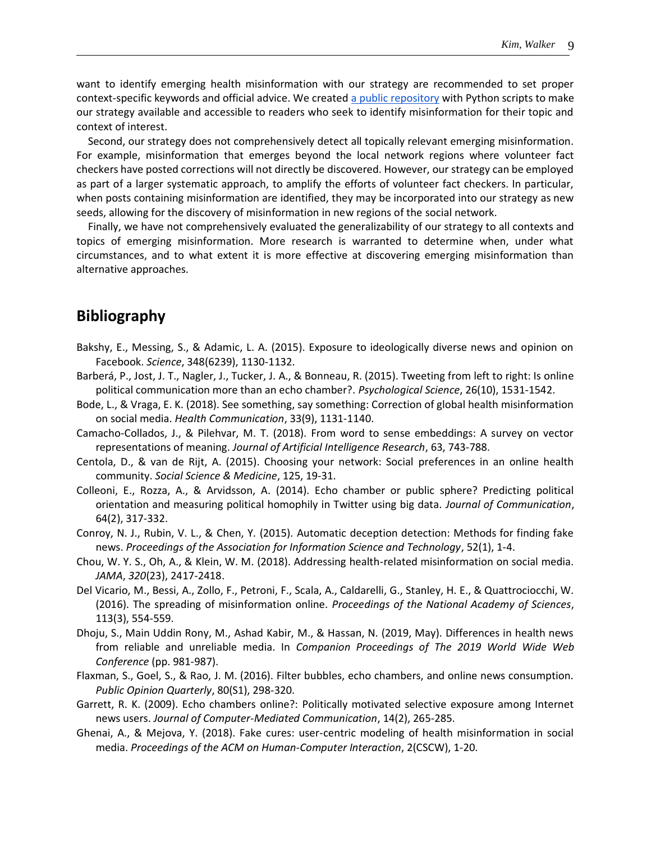want to identify emerging health misinformation with our strategy are recommended to set proper context-specific keywords and official advice. We created [a public repository](https://github.com/hkim07/extract_misinformation_candidate_tweets) with Python scripts to make our strategy available and accessible to readers who seek to identify misinformation for their topic and context of interest.

Second, our strategy does not comprehensively detect all topically relevant emerging misinformation. For example, misinformation that emerges beyond the local network regions where volunteer fact checkers have posted corrections will not directly be discovered. However, our strategy can be employed as part of a larger systematic approach, to amplify the efforts of volunteer fact checkers. In particular, when posts containing misinformation are identified, they may be incorporated into our strategy as new seeds, allowing for the discovery of misinformation in new regions of the social network.

Finally, we have not comprehensively evaluated the generalizability of our strategy to all contexts and topics of emerging misinformation. More research is warranted to determine when, under what circumstances, and to what extent it is more effective at discovering emerging misinformation than alternative approaches.

### **Bibliography**

- Bakshy, E., Messing, S., & Adamic, L. A. (2015). Exposure to ideologically diverse news and opinion on Facebook. *Science*, 348(6239), 1130-1132.
- Barberá, P., Jost, J. T., Nagler, J., Tucker, J. A., & Bonneau, R. (2015). Tweeting from left to right: Is online political communication more than an echo chamber?. *Psychological Science*, 26(10), 1531-1542.
- Bode, L., & Vraga, E. K. (2018). See something, say something: Correction of global health misinformation on social media. *Health Communication*, 33(9), 1131-1140.
- Camacho-Collados, J., & Pilehvar, M. T. (2018). From word to sense embeddings: A survey on vector representations of meaning. *Journal of Artificial Intelligence Research*, 63, 743-788.
- Centola, D., & van de Rijt, A. (2015). Choosing your network: Social preferences in an online health community. *Social Science & Medicine*, 125, 19-31.
- Colleoni, E., Rozza, A., & Arvidsson, A. (2014). Echo chamber or public sphere? Predicting political orientation and measuring political homophily in Twitter using big data. *Journal of Communication*, 64(2), 317-332.
- Conroy, N. J., Rubin, V. L., & Chen, Y. (2015). Automatic deception detection: Methods for finding fake news. *Proceedings of the Association for Information Science and Technology*, 52(1), 1-4.
- Chou, W. Y. S., Oh, A., & Klein, W. M. (2018). Addressing health-related misinformation on social media. *JAMA*, *320*(23), 2417-2418.
- Del Vicario, M., Bessi, A., Zollo, F., Petroni, F., Scala, A., Caldarelli, G., Stanley, H. E., & Quattrociocchi, W. (2016). The spreading of misinformation online. *Proceedings of the National Academy of Sciences*, 113(3), 554-559.
- Dhoju, S., Main Uddin Rony, M., Ashad Kabir, M., & Hassan, N. (2019, May). Differences in health news from reliable and unreliable media. In *Companion Proceedings of The 2019 World Wide Web Conference* (pp. 981-987).
- Flaxman, S., Goel, S., & Rao, J. M. (2016). Filter bubbles, echo chambers, and online news consumption. *Public Opinion Quarterly*, 80(S1), 298-320.
- Garrett, R. K. (2009). Echo chambers online?: Politically motivated selective exposure among Internet news users. *Journal of Computer-Mediated Communication*, 14(2), 265-285.
- Ghenai, A., & Mejova, Y. (2018). Fake cures: user-centric modeling of health misinformation in social media. *Proceedings of the ACM on Human-Computer Interaction*, 2(CSCW), 1-20.